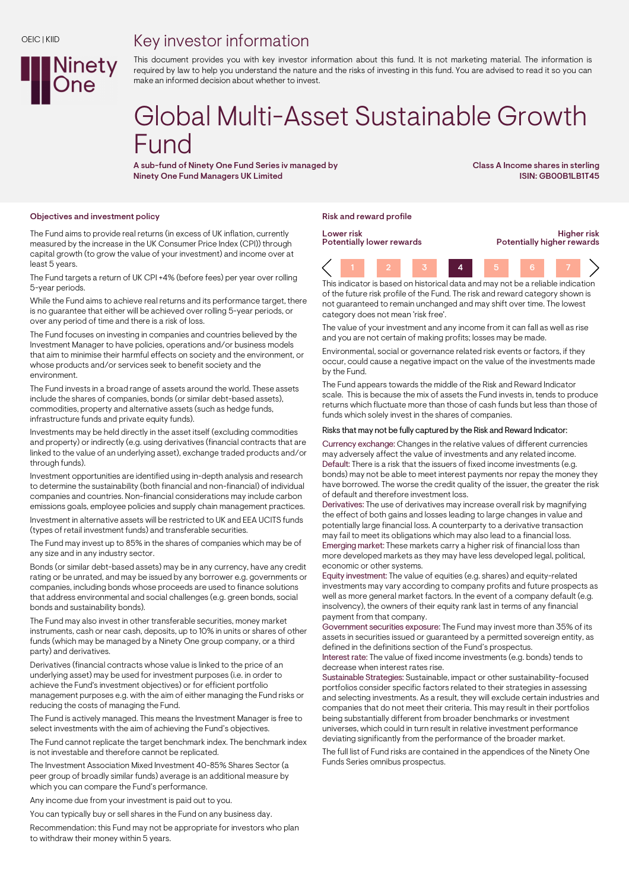## Key investor information



This document provides you with key investor information about this fund. It is not marketing material. The information is required by law to help you understand the nature and the risks of investing in this fund. You are advised to read it so you can make an informed decision about whether to invest.

# Global Multi-Asset Sustainable Growth Fund

A sub-fund of Ninety One Fund Series iv managed by Ninety One Fund Managers UK Limited

Class A Income shares in sterling ISIN: GB00B1LB1T45

Higher risk

#### Objectives and investment policy research and reward profile research policy research profile research profile

The Fund aims to provide real returns (in excess of UK inflation, currently measured by the increase in the UK Consumer Price Index (CPI)) through capital growth (to grow the value of your investment) and income over at least 5 years.

The Fund targets a return of UK CPI +4% (before fees) per year over rolling 5-year periods.

While the Fund aims to achieve real returns and its performance target, there is no guarantee that either will be achieved over rolling 5-year periods, or over any period of time and there is a risk of loss.

The Fund focuses on investing in companies and countries believed by the Investment Manager to have policies, operations and/or business models that aim to minimise their harmful effects on society and the environment, or whose products and/or services seek to benefit society and the environment.

The Fund invests in a broad range of assets around the world. These assets include the shares of companies, bonds (or similar debt-based assets), commodities, property and alternative assets (such as hedge funds, infrastructure funds and private equity funds).

Investments may be held directly in the asset itself (excluding commodities and property) or indirectly (e.g. using derivatives (financial contracts that are linked to the value of an underlying asset), exchange traded products and/or through funds).

Investment opportunities are identified using in-depth analysis and research to determine the sustainability (both financial and non-financial) of individual companies and countries. Non-financial considerations may include carbon emissions goals, employee policies and supply chain management practices.

Investment in alternative assets will be restricted to UK and EEA UCITS funds (types of retail investment funds) and transferable securities.

The Fund may invest up to 85% in the shares of companies which may be of any size and in any industry sector.

Bonds (or similar debt-based assets) may be in any currency, have any credit rating or be unrated, and may be issued by any borrower e.g. governments or companies, including bonds whose proceeds are used to finance solutions that address environmental and social challenges (e.g. green bonds, social bonds and sustainability bonds).

The Fund may also invest in other transferable securities, money market instruments, cash or near cash, deposits, up to 10% in units or shares of other funds (which may be managed by a Ninety One group company, or a third party) and derivatives.

Derivatives (financial contracts whose value is linked to the price of an underlying asset) may be used for investment purposes (i.e. in order to achieve the Fund's investment objectives) or for efficient portfolio management purposes e.g. with the aim of either managing the Fund risks or reducing the costs of managing the Fund.

The Fund is actively managed. This means the Investment Manager is free to select investments with the aim of achieving the Fund's objectives.

The Fund cannot replicate the target benchmark index. The benchmark index is not investable and therefore cannot be replicated.

The Investment Association Mixed Investment 40-85% Shares Sector (a peer group of broadly similar funds) average is an additional measure by which you can compare the Fund's performance.

Any income due from your investment is paid out to you.

You can typically buy or sell shares in the Fund on any business day.

Recommendation: this Fund may not be appropriate for investors who plan to withdraw their money within 5 years.

Lower risk Potentially lower rewards

Potentially higher rewards 1 2 3 4 5 6 7

This indicator is based on historical data and may not be a reliable indication of the future risk profile of the Fund. The risk and reward category shown is not guaranteed to remain unchanged and may shift over time. The lowest category does not mean 'risk free'.

The value of your investment and any income from it can fall as well as rise and you are not certain of making profits; losses may be made.

Environmental, social or governance related risk events or factors, if they occur, could cause a negative impact on the value of the investments made by the Fund.

The Fund appears towards the middle of the Risk and Reward Indicator scale. This is because the mix of assets the Fund invests in, tends to produce returns which fluctuate more than those of cash funds but less than those of funds which solely invest in the shares of companies.

#### Risks that may not be fully captured by the Risk and Reward Indicator:

Currency exchange: Changes in the relative values of different currencies may adversely affect the value of investments and any related income. Default: There is a risk that the issuers of fixed income investments (e.g. bonds) may not be able to meet interest payments nor repay the money they have borrowed. The worse the credit quality of the issuer, the greater the risk of default and therefore investment loss.

Derivatives: The use of derivatives may increase overall risk by magnifying the effect of both gains and losses leading to large changes in value and potentially large financial loss. A counterparty to a derivative transaction may fail to meet its obligations which may also lead to a financial loss. Emerging market: These markets carry a higher risk of financial loss than more developed markets as they may have less developed legal, political, economic or other systems.

Equity investment: The value of equities (e.g. shares) and equity-related investments may vary according to company profits and future prospects as well as more general market factors. In the event of a company default (e.g. insolvency), the owners of their equity rank last in terms of any financial payment from that company.

Government securities exposure: The Fund may invest more than 35% of its assets in securities issued or guaranteed by a permitted sovereign entity, as defined in the definitions section of the Fund's prospectus.

Interest rate: The value of fixed income investments (e.g. bonds) tends to decrease when interest rates rise.

Sustainable Strategies: Sustainable, impact or other sustainability-focused portfolios consider specific factors related to their strategies in assessing and selecting investments. As a result, they will exclude certain industries and companies that do not meet their criteria. This may result in their portfolios being substantially different from broader benchmarks or investment universes, which could in turn result in relative investment performance deviating significantly from the performance of the broader market.

The full list of Fund risks are contained in the appendices of the Ninety One Funds Series omnibus prospectus.